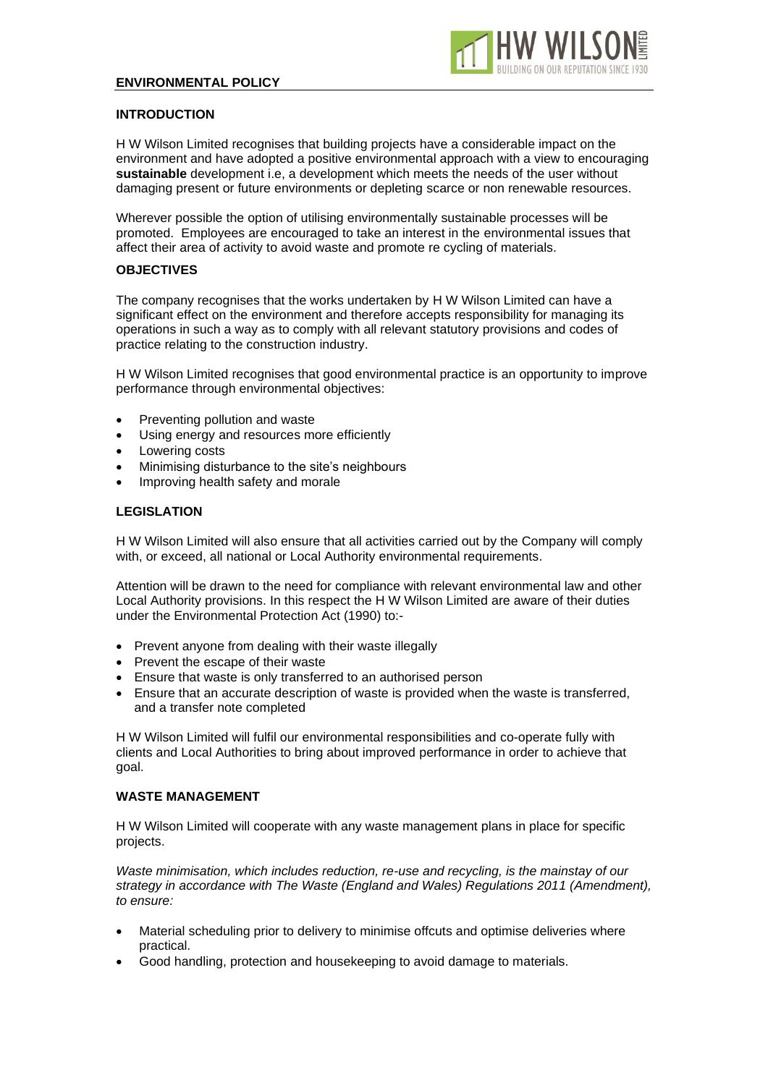

### **INTRODUCTION**

H W Wilson Limited recognises that building projects have a considerable impact on the environment and have adopted a positive environmental approach with a view to encouraging **sustainable** development i.e, a development which meets the needs of the user without damaging present or future environments or depleting scarce or non renewable resources.

Wherever possible the option of utilising environmentally sustainable processes will be promoted. Employees are encouraged to take an interest in the environmental issues that affect their area of activity to avoid waste and promote re cycling of materials.

## **OBJECTIVES**

The company recognises that the works undertaken by H W Wilson Limited can have a significant effect on the environment and therefore accepts responsibility for managing its operations in such a way as to comply with all relevant statutory provisions and codes of practice relating to the construction industry.

H W Wilson Limited recognises that good environmental practice is an opportunity to improve performance through environmental objectives:

- Preventing pollution and waste
- Using energy and resources more efficiently
- Lowering costs
- Minimising disturbance to the site's neighbours
- Improving health safety and morale

#### **LEGISLATION**

H W Wilson Limited will also ensure that all activities carried out by the Company will comply with, or exceed, all national or Local Authority environmental requirements.

Attention will be drawn to the need for compliance with relevant environmental law and other Local Authority provisions. In this respect the H W Wilson Limited are aware of their duties under the Environmental Protection Act (1990) to:-

- Prevent anyone from dealing with their waste illegally
- Prevent the escape of their waste
- Ensure that waste is only transferred to an authorised person
- Ensure that an accurate description of waste is provided when the waste is transferred, and a transfer note completed

H W Wilson Limited will fulfil our environmental responsibilities and co-operate fully with clients and Local Authorities to bring about improved performance in order to achieve that goal.

#### **WASTE MANAGEMENT**

H W Wilson Limited will cooperate with any waste management plans in place for specific projects.

*Waste minimisation, which includes reduction, re-use and recycling, is the mainstay of our strategy in accordance with The Waste (England and Wales) Regulations 2011 (Amendment), to ensure:*

- Material scheduling prior to delivery to minimise offcuts and optimise deliveries where practical.
- Good handling, protection and housekeeping to avoid damage to materials.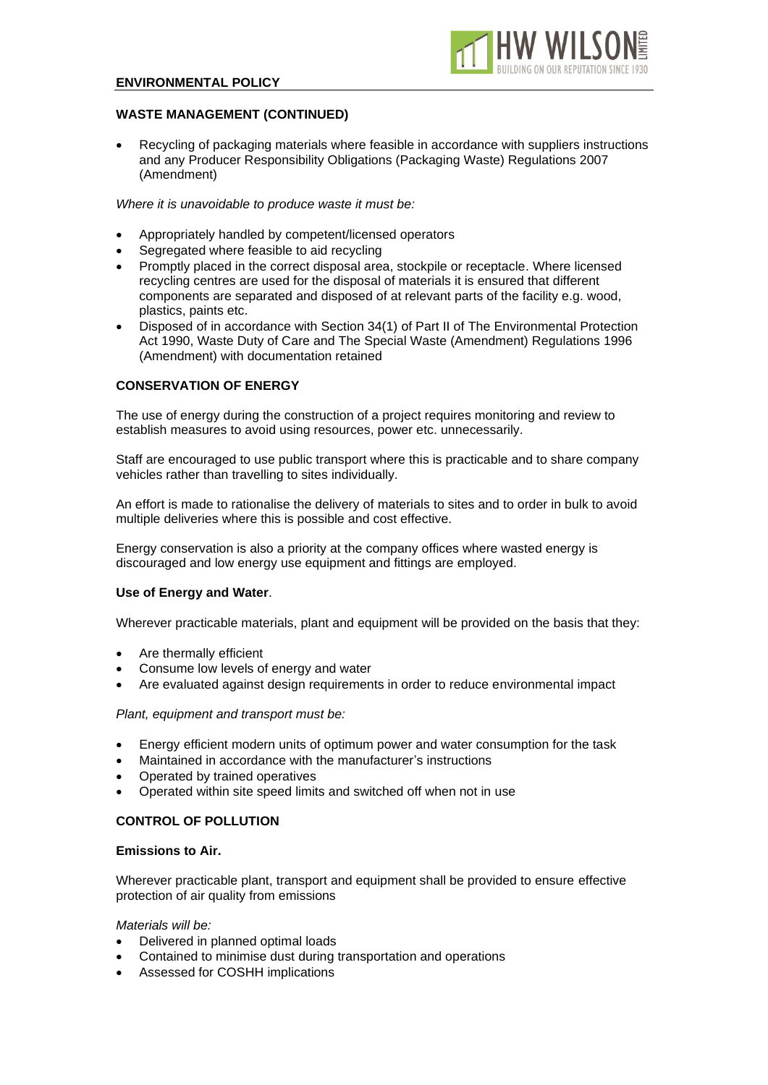

## **WASTE MANAGEMENT (CONTINUED)**

• Recycling of packaging materials where feasible in accordance with suppliers instructions and any Producer Responsibility Obligations (Packaging Waste) Regulations 2007 (Amendment)

*Where it is unavoidable to produce waste it must be:*

- Appropriately handled by competent/licensed operators
- Segregated where feasible to aid recycling
- Promptly placed in the correct disposal area, stockpile or receptacle. Where licensed recycling centres are used for the disposal of materials it is ensured that different components are separated and disposed of at relevant parts of the facility e.g. wood, plastics, paints etc.
- Disposed of in accordance with Section 34(1) of Part II of The Environmental Protection Act 1990, Waste Duty of Care and The Special Waste (Amendment) Regulations 1996 (Amendment) with documentation retained

### **CONSERVATION OF ENERGY**

The use of energy during the construction of a project requires monitoring and review to establish measures to avoid using resources, power etc. unnecessarily.

Staff are encouraged to use public transport where this is practicable and to share company vehicles rather than travelling to sites individually.

An effort is made to rationalise the delivery of materials to sites and to order in bulk to avoid multiple deliveries where this is possible and cost effective.

Energy conservation is also a priority at the company offices where wasted energy is discouraged and low energy use equipment and fittings are employed.

#### **Use of Energy and Water**.

Wherever practicable materials, plant and equipment will be provided on the basis that they:

- Are thermally efficient
- Consume low levels of energy and water
- Are evaluated against design requirements in order to reduce environmental impact

#### *Plant, equipment and transport must be:*

- Energy efficient modern units of optimum power and water consumption for the task
- Maintained in accordance with the manufacturer's instructions
- Operated by trained operatives
- Operated within site speed limits and switched off when not in use

## **CONTROL OF POLLUTION**

#### **Emissions to Air.**

Wherever practicable plant, transport and equipment shall be provided to ensure effective protection of air quality from emissions

#### *Materials will be:*

- Delivered in planned optimal loads
- Contained to minimise dust during transportation and operations
- Assessed for COSHH implications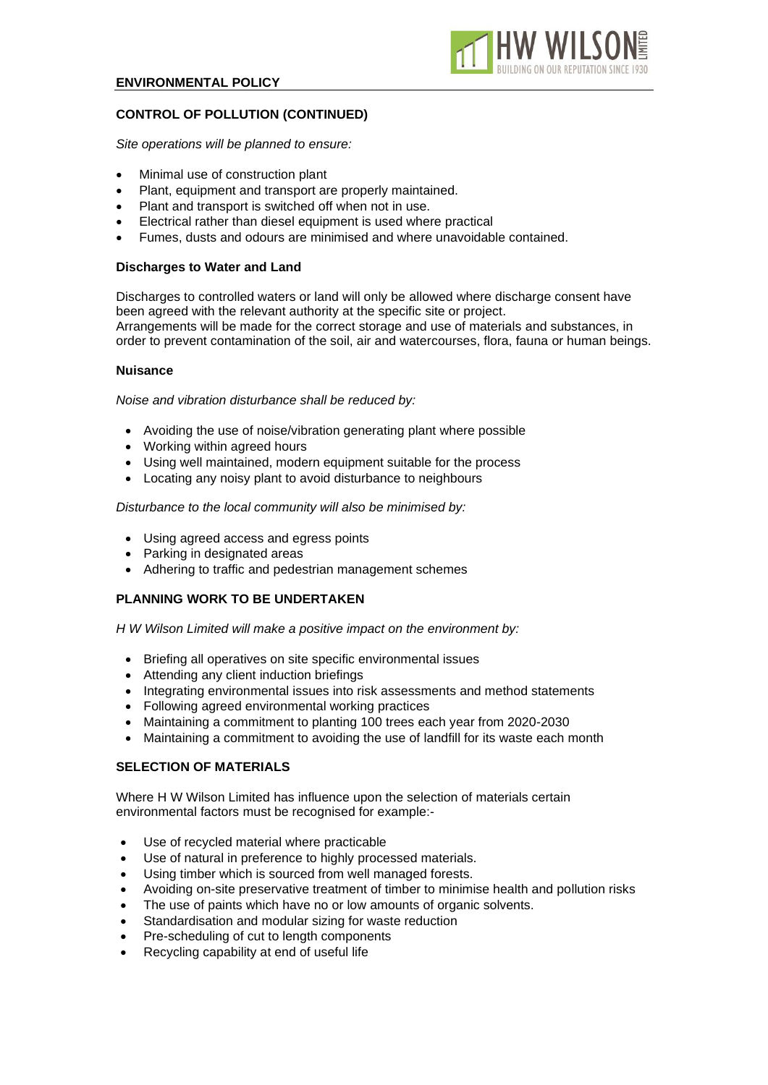

# **CONTROL OF POLLUTION (CONTINUED)**

*Site operations will be planned to ensure:*

- Minimal use of construction plant
- Plant, equipment and transport are properly maintained.
- Plant and transport is switched off when not in use.
- Electrical rather than diesel equipment is used where practical
- Fumes, dusts and odours are minimised and where unavoidable contained.

#### **Discharges to Water and Land**

Discharges to controlled waters or land will only be allowed where discharge consent have been agreed with the relevant authority at the specific site or project. Arrangements will be made for the correct storage and use of materials and substances, in order to prevent contamination of the soil, air and watercourses, flora, fauna or human beings.

#### **Nuisance**

*Noise and vibration disturbance shall be reduced by:*

- Avoiding the use of noise/vibration generating plant where possible
- Working within agreed hours
- Using well maintained, modern equipment suitable for the process
- Locating any noisy plant to avoid disturbance to neighbours

#### *Disturbance to the local community will also be minimised by:*

- Using agreed access and egress points
- Parking in designated areas
- Adhering to traffic and pedestrian management schemes

## **PLANNING WORK TO BE UNDERTAKEN**

*H W Wilson Limited will make a positive impact on the environment by:*

- Briefing all operatives on site specific environmental issues
- Attending any client induction briefings
- Integrating environmental issues into risk assessments and method statements
- Following agreed environmental working practices
- Maintaining a commitment to planting 100 trees each year from 2020-2030
- Maintaining a commitment to avoiding the use of landfill for its waste each month

## **SELECTION OF MATERIALS**

Where H W Wilson Limited has influence upon the selection of materials certain environmental factors must be recognised for example:-

- Use of recycled material where practicable
- Use of natural in preference to highly processed materials.
- Using timber which is sourced from well managed forests.
- Avoiding on-site preservative treatment of timber to minimise health and pollution risks
- The use of paints which have no or low amounts of organic solvents.
- Standardisation and modular sizing for waste reduction
- Pre-scheduling of cut to length components
- Recycling capability at end of useful life